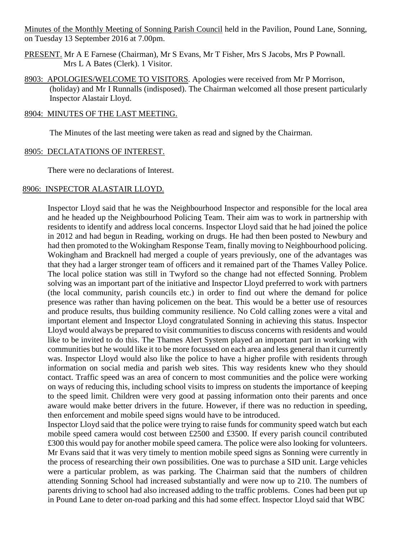Minutes of the Monthly Meeting of Sonning Parish Council held in the Pavilion, Pound Lane, Sonning, on Tuesday 13 September 2016 at 7.00pm.

- PRESENT. Mr A E Farnese (Chairman), Mr S Evans, Mr T Fisher, Mrs S Jacobs, Mrs P Pownall. Mrs L A Bates (Clerk). 1 Visitor.
- 8903: APOLOGIES/WELCOME TO VISITORS. Apologies were received from Mr P Morrison, (holiday) and Mr I Runnalls (indisposed). The Chairman welcomed all those present particularly Inspector Alastair Lloyd.

### 8904: MINUTES OF THE LAST MEETING.

The Minutes of the last meeting were taken as read and signed by the Chairman.

### 8905: DECLATATIONS OF INTEREST.

There were no declarations of Interest.

### 8906: INSPECTOR ALASTAIR LLOYD.

Inspector Lloyd said that he was the Neighbourhood Inspector and responsible for the local area and he headed up the Neighbourhood Policing Team. Their aim was to work in partnership with residents to identify and address local concerns. Inspector Lloyd said that he had joined the police in 2012 and had begun in Reading, working on drugs. He had then been posted to Newbury and had then promoted to the Wokingham Response Team, finally moving to Neighbourhood policing. Wokingham and Bracknell had merged a couple of years previously, one of the advantages was that they had a larger stronger team of officers and it remained part of the Thames Valley Police. The local police station was still in Twyford so the change had not effected Sonning. Problem solving was an important part of the initiative and Inspector Lloyd preferred to work with partners (the local community, parish councils etc.) in order to find out where the demand for police presence was rather than having policemen on the beat. This would be a better use of resources and produce results, thus building community resilience. No Cold calling zones were a vital and important element and Inspector Lloyd congratulated Sonning in achieving this status. Inspector Lloyd would always be prepared to visit communities to discuss concerns with residents and would like to be invited to do this. The Thames Alert System played an important part in working with communities but he would like it to be more focussed on each area and less general than it currently was. Inspector Lloyd would also like the police to have a higher profile with residents through information on social media and parish web sites. This way residents knew who they should contact. Traffic speed was an area of concern to most communities and the police were working on ways of reducing this, including school visits to impress on students the importance of keeping to the speed limit. Children were very good at passing information onto their parents and once aware would make better drivers in the future. However, if there was no reduction in speeding, then enforcement and mobile speed signs would have to be introduced.

Inspector Lloyd said that the police were trying to raise funds for community speed watch but each mobile speed camera would cost between £2500 and £3500. If every parish council contributed £300 this would pay for another mobile speed camera. The police were also looking for volunteers. Mr Evans said that it was very timely to mention mobile speed signs as Sonning were currently in the process of researching their own possibilities. One was to purchase a SID unit. Large vehicles were a particular problem, as was parking. The Chairman said that the numbers of children attending Sonning School had increased substantially and were now up to 210. The numbers of parents driving to school had also increased adding to the traffic problems. Cones had been put up in Pound Lane to deter on-road parking and this had some effect. Inspector Lloyd said that WBC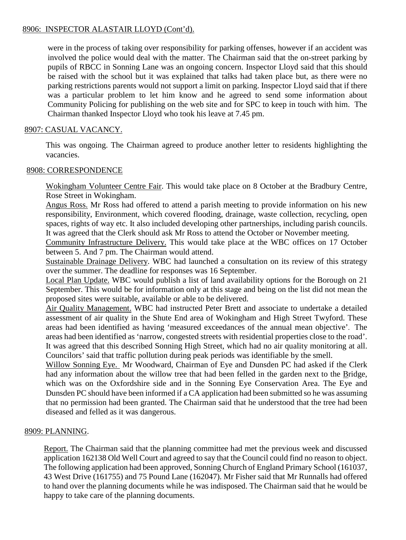### 8906: INSPECTOR ALASTAIR LLOYD (Cont'd).

were in the process of taking over responsibility for parking offenses, however if an accident was involved the police would deal with the matter. The Chairman said that the on-street parking by pupils of RBCC in Sonning Lane was an ongoing concern. Inspector Lloyd said that this should be raised with the school but it was explained that talks had taken place but, as there were no parking restrictions parents would not support a limit on parking. Inspector Lloyd said that if there was a particular problem to let him know and he agreed to send some information about Community Policing for publishing on the web site and for SPC to keep in touch with him. The Chairman thanked Inspector Lloyd who took his leave at 7.45 pm.

### 8907: CASUAL VACANCY.

This was ongoing. The Chairman agreed to produce another letter to residents highlighting the vacancies.

#### 8908: CORRESPONDENCE

Wokingham Volunteer Centre Fair. This would take place on 8 October at the Bradbury Centre, Rose Street in Wokingham.

Angus Ross. Mr Ross had offered to attend a parish meeting to provide information on his new responsibility, Environment, which covered flooding, drainage, waste collection, recycling, open spaces, rights of way etc. It also included developing other partnerships, including parish councils. It was agreed that the Clerk should ask Mr Ross to attend the October or November meeting.

Community Infrastructure Delivery. This would take place at the WBC offices on 17 October between 5. And 7 pm. The Chairman would attend.

Sustainable Drainage Delivery. WBC had launched a consultation on its review of this strategy over the summer. The deadline for responses was 16 September.

Local Plan Update. WBC would publish a list of land availability options for the Borough on 21 September. This would be for information only at this stage and being on the list did not mean the proposed sites were suitable, available or able to be delivered.

Air Quality Management. WBC had instructed Peter Brett and associate to undertake a detailed assessment of air quality in the Shute End area of Wokingham and High Street Twyford. These areas had been identified as having 'measured exceedances of the annual mean objective'. The areas had been identified as 'narrow, congested streets with residential properties close to the road'. It was agreed that this described Sonning High Street, which had no air quality monitoring at all. Councilors' said that traffic pollution during peak periods was identifiable by the smell.

Willow Sonning Eye. Mr Woodward, Chairman of Eye and Dunsden PC had asked if the Clerk had any information about the willow tree that had been felled in the garden next to the Bridge, which was on the Oxfordshire side and in the Sonning Eye Conservation Area. The Eye and Dunsden PC should have been informed if a CA application had been submitted so he was assuming that no permission had been granted. The Chairman said that he understood that the tree had been diseased and felled as it was dangerous.

# 8909: PLANNING.

Report. The Chairman said that the planning committee had met the previous week and discussed application 162138 Old Well Court and agreed to say that the Council could find no reason to object. The following application had been approved, Sonning Church of England Primary School (161037, 43 West Drive (161755) and 75 Pound Lane (162047). Mr Fisher said that Mr Runnalls had offered to hand over the planning documents while he was indisposed. The Chairman said that he would be happy to take care of the planning documents.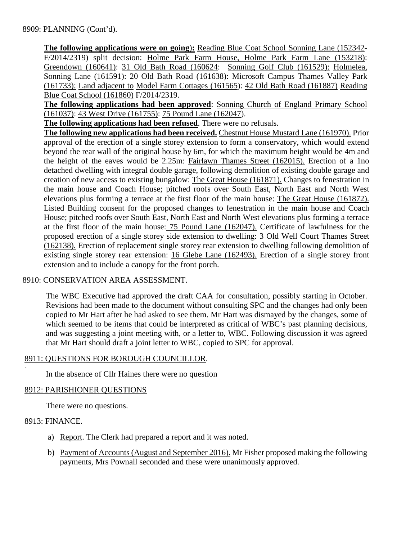**The following applications were on going**)**:** Reading Blue Coat School Sonning Lane (152342- F/2014/2319) split decision: Holme Park Farm House, Holme Park Farm Lane (153218): Greendown (160641): 31 Old Bath Road (160624: Sonning Golf Club (161529): Holmelea, Sonning Lane (161591): 20 Old Bath Road (161638): Microsoft Campus Thames Valley Park (161733): Land adjacent to Model Farm Cottages (161565): 42 Old Bath Road (161887) Reading Blue Coat School (161860) F/2014/2319.

**The following applications had been approved**: Sonning Church of England Primary School (161037): 43 West Drive (161755): 75 Pound Lane (162047).

**The following applications had been refused**. There were no refusals.

**The following new applications had been received.** Chestnut House Mustard Lane (161970). Prior approval of the erection of a single storey extension to form a conservatory, which would extend beyond the rear wall of the original house by 6m, for which the maximum height would be 4m and the height of the eaves would be 2.25m: Fairlawn Thames Street (162015). Erection of a 1no detached dwelling with integral double garage, following demolition of existing double garage and creation of new access to existing bungalow: The Great House (161871). Changes to fenestration in the main house and Coach House; pitched roofs over South East, North East and North West elevations plus forming a terrace at the first floor of the main house: The Great House (161872). Listed Building consent for the proposed changes to fenestration in the main house and Coach House; pitched roofs over South East, North East and North West elevations plus forming a terrace at the first floor of the main house: 75 Pound Lane (162047). Certificate of lawfulness for the proposed erection of a single storey side extension to dwelling: 3 Old Well Court Thames Street (162138). Erection of replacement single storey rear extension to dwelling following demolition of existing single storey rear extension: 16 Glebe Lane (162493). Erection of a single storey front extension and to include a canopy for the front porch.

#### 8910: CONSERVATION AREA ASSESSMENT.

The WBC Executive had approved the draft CAA for consultation, possibly starting in October. Revisions had been made to the document without consulting SPC and the changes had only been copied to Mr Hart after he had asked to see them. Mr Hart was dismayed by the changes, some of which seemed to be items that could be interpreted as critical of WBC's past planning decisions, and was suggesting a joint meeting with, or a letter to, WBC. Following discussion it was agreed that Mr Hart should draft a joint letter to WBC, copied to SPC for approval.

# 8911: QUESTIONS FOR BOROUGH COUNCILLOR.

In the absence of Cllr Haines there were no question

#### 8912: PARISHIONER QUESTIONS

There were no questions.

#### 8913: FINANCE.

.

- a) Report. The Clerk had prepared a report and it was noted.
- b) Payment of Accounts (August and September 2016). Mr Fisher proposed making the following payments, Mrs Pownall seconded and these were unanimously approved.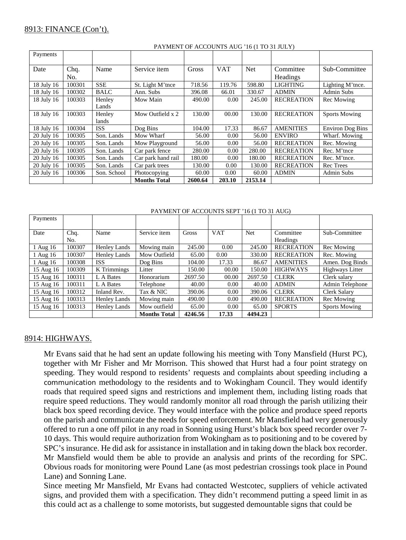| Payments   |        |             |                     |         |            |            |                   |                         |
|------------|--------|-------------|---------------------|---------|------------|------------|-------------------|-------------------------|
| Date       | Chq.   | Name        | Service item        | Gross   | <b>VAT</b> | <b>Net</b> | Committee         | Sub-Committee           |
|            | No.    |             |                     |         |            |            | Headings          |                         |
| 18 July 16 | 100301 | <b>SSE</b>  | St. Light M'tnce    | 718.56  | 119.76     | 598.80     | <b>LIGHTING</b>   | Lighting M'tnce.        |
| 18 July 16 | 100302 | <b>BALC</b> | Ann. Subs           | 396.08  | 66.01      | 330.67     | <b>ADMIN</b>      | <b>Admin Subs</b>       |
| 18 July 16 | 100303 | Henley      | Mow Main            | 490.00  | 0.00       | 245.00     | <b>RECREATION</b> | Rec Mowing              |
|            |        | Lands       |                     |         |            |            |                   |                         |
| 18 July 16 | 100303 | Henley      | Mow Outfield x 2    | 130.00  | 00.00      | 130.00     | <b>RECREATION</b> | <b>Sports Mowing</b>    |
|            |        | lands       |                     |         |            |            |                   |                         |
| 18 July 16 | 100304 | <b>ISS</b>  | Dog Bins            | 104.00  | 17.33      | 86.67      | <b>AMENITIES</b>  | <b>Environ Dog Bins</b> |
| 20 July 16 | 100305 | Son. Lands  | Mow Wharf           | 56.00   | 0.00       | 56.00      | <b>ENVIRO</b>     | Wharf. Mowing           |
| 20 July 16 | 100305 | Son. Lands  | Mow Playground      | 56.00   | 0.00       | 56.00      | <b>RECREATION</b> | Rec. Mowing             |
| 20 July 16 | 100305 | Son. Lands  | Car park fence      | 280.00  | 0.00       | 280.00     | <b>RECREATION</b> | Rec. M'tnce             |
| 20 July 16 | 100305 | Son. Lands  | Car park hand rail  | 180.00  | 0.00       | 180.00     | <b>RECREATION</b> | Rec. M'tnce.            |
| 20 July 16 | 100305 | Son. Lands  | Car park trees      | 130.00  | 0.00       | 130.00     | <b>RECREATION</b> | <b>Rec</b> Trees        |
| 20 July 16 | 100306 | Son. School | Photocopying        | 60.00   | 0.00       | 60.00      | <b>ADMIN</b>      | <b>Admin Subs</b>       |
|            |        |             | <b>Months Total</b> | 2600.64 | 203.10     | 2153.14    |                   |                         |

#### PAYMENT OF ACCOUNTS AUG '16 (1 TO 31 JULY)

PAYMENT OF ACCOUNTS SEPT '16 (1 TO 31 AUG)

| Payments  |        |                     |                     |              |            |            |                   |                      |
|-----------|--------|---------------------|---------------------|--------------|------------|------------|-------------------|----------------------|
| Date      | Chq.   | Name                | Service item        | <b>Gross</b> | <b>VAT</b> | <b>Net</b> | Committee         | Sub-Committee        |
|           | No.    |                     |                     |              |            |            | Headings          |                      |
| 1 Aug 16  | 100307 | <b>Henley Lands</b> | Mowing main         | 245.00       | 0.00       | 245.00     | <b>RECREATION</b> | Rec Mowing           |
| 1 Aug 16  | 100307 | <b>Henley Lands</b> | Mow Outfield        | 65.00        | 0.00       | 330.00     | <b>RECREATION</b> | Rec. Mowing          |
| 1 Aug 16  | 100308 | <b>ISS</b>          | Dog Bins            | 104.00       | 17.33      | 86.67      | <b>AMENITIES</b>  | Amen. Dog Binds      |
| 15 Aug 16 | 100309 | K Trimmings         | Litter              | 150.00       | 00.00      | 150.00     | <b>HIGHWAYS</b>   | Highways Litter      |
| 15 Aug 16 | 100311 | L A Bates           | Honorarium          | 2697.50      | 00.00      | 2697.50    | <b>CLERK</b>      | Clerk salary         |
| 15 Aug 16 | 100311 | L A Bates           | Telephone           | 40.00        | 0.00       | 40.00      | <b>ADMIN</b>      | Admin Telephone      |
| 15 Aug 16 | 100312 | Inland Rev.         | Tax & NIC           | 390.06       | 0.00       | 390.06     | <b>CLERK</b>      | Clerk Salary         |
| 15 Aug 16 | 100313 | Henley Lands        | Mowing main         | 490.00       | 0.00       | 490.00     | <b>RECREATION</b> | Rec Mowing           |
| 15 Aug 16 | 100313 | Henley Lands        | Mow outfield        | 65.00        | 0.00       | 65.00      | <b>SPORTS</b>     | <b>Sports Mowing</b> |
|           |        |                     | <b>Months Total</b> | 4246.56      | 17.33      | 4494.23    |                   |                      |

#### 8914: HIGHWAYS.

Mr Evans said that he had sent an update following his meeting with Tony Mansfield (Hurst PC), together with Mr Fisher and Mr Morrison. This showed that Hurst had a four point strategy on speeding. They would respond to residents' requests and complaints about speeding including a communication methodology to the residents and to Wokingham Council. They would identify roads that required speed signs and restrictions and implement them, including listing roads that require speed reductions. They would randomly monitor all road through the parish utilizing their black box speed recording device. They would interface with the police and produce speed reports on the parish and communicate the needs for speed enforcement. Mr Mansfield had very generously offered to run a one off pilot in any road in Sonning using Hurst's black box speed recorder over 7- 10 days. This would require authorization from Wokingham as to positioning and to be covered by SPC's insurance. He did ask for assistance in installation and in taking down the black box recorder. Mr Mansfield would them be able to provide an analysis and prints of the recording for SPC. Obvious roads for monitoring were Pound Lane (as most pedestrian crossings took place in Pound Lane) and Sonning Lane.

Since meeting Mr Mansfield, Mr Evans had contacted Westcotec, suppliers of vehicle activated signs, and provided them with a specification. They didn't recommend putting a speed limit in as this could act as a challenge to some motorists, but suggested demountable signs that could be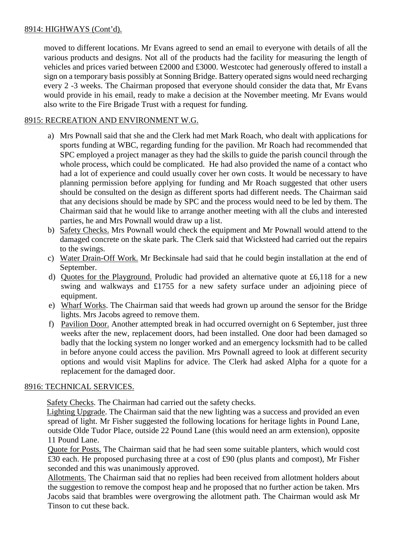# 8914: HIGHWAYS (Cont'd).

moved to different locations. Mr Evans agreed to send an email to everyone with details of all the various products and designs. Not all of the products had the facility for measuring the length of vehicles and prices varied between £2000 and £3000. Westcotec had generously offered to install a sign on a temporary basis possibly at Sonning Bridge. Battery operated signs would need recharging every 2 -3 weeks. The Chairman proposed that everyone should consider the data that, Mr Evans would provide in his email, ready to make a decision at the November meeting. Mr Evans would also write to the Fire Brigade Trust with a request for funding.

# 8915: RECREATION AND ENVIRONMENT W.G.

- a) Mrs Pownall said that she and the Clerk had met Mark Roach, who dealt with applications for sports funding at WBC, regarding funding for the pavilion. Mr Roach had recommended that SPC employed a project manager as they had the skills to guide the parish council through the whole process, which could be complicated. He had also provided the name of a contact who had a lot of experience and could usually cover her own costs. It would be necessary to have planning permission before applying for funding and Mr Roach suggested that other users should be consulted on the design as different sports had different needs. The Chairman said that any decisions should be made by SPC and the process would need to be led by them. The Chairman said that he would like to arrange another meeting with all the clubs and interested parties, he and Mrs Pownall would draw up a list.
- b) Safety Checks. Mrs Pownall would check the equipment and Mr Pownall would attend to the damaged concrete on the skate park. The Clerk said that Wicksteed had carried out the repairs to the swings.
- c) Water Drain-Off Work. Mr Beckinsale had said that he could begin installation at the end of September.
- d) Quotes for the Playground. Proludic had provided an alternative quote at £6,118 for a new swing and walkways and £1755 for a new safety surface under an adjoining piece of equipment.
- e) Wharf Works. The Chairman said that weeds had grown up around the sensor for the Bridge lights. Mrs Jacobs agreed to remove them.
- f) Pavilion Door. Another attempted break in had occurred overnight on 6 September, just three weeks after the new, replacement doors, had been installed. One door had been damaged so badly that the locking system no longer worked and an emergency locksmith had to be called in before anyone could access the pavilion. Mrs Pownall agreed to look at different security options and would visit Maplins for advice. The Clerk had asked Alpha for a quote for a replacement for the damaged door.

# 8916: TECHNICAL SERVICES.

Safety Checks. The Chairman had carried out the safety checks.

 Lighting Upgrade. The Chairman said that the new lighting was a success and provided an even spread of light. Mr Fisher suggested the following locations for heritage lights in Pound Lane, outside Olde Tudor Place, outside 22 Pound Lane (this would need an arm extension), opposite 11 Pound Lane.

Quote for Posts. The Chairman said that he had seen some suitable planters, which would cost £30 each. He proposed purchasing three at a cost of £90 (plus plants and compost), Mr Fisher seconded and this was unanimously approved.

Allotments. The Chairman said that no replies had been received from allotment holders about the suggestion to remove the compost heap and he proposed that no further action be taken. Mrs Jacobs said that brambles were overgrowing the allotment path. The Chairman would ask Mr Tinson to cut these back.